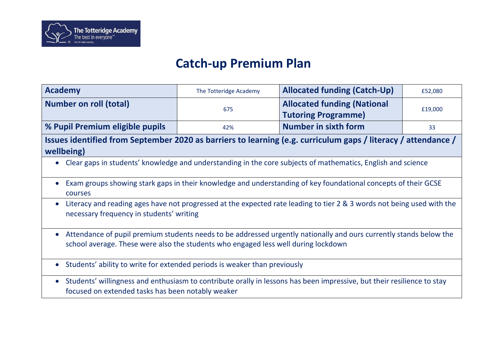

## **Catch-up Premium Plan**

| <b>Academy</b>                                                                                                                                                                                             | The Totteridge Academy                                                                                       | <b>Allocated funding (Catch-Up)</b>                              | £52,080 |
|------------------------------------------------------------------------------------------------------------------------------------------------------------------------------------------------------------|--------------------------------------------------------------------------------------------------------------|------------------------------------------------------------------|---------|
| <b>Number on roll (total)</b>                                                                                                                                                                              | 675                                                                                                          | <b>Allocated funding (National</b><br><b>Tutoring Programme)</b> | £19,000 |
| % Pupil Premium eligible pupils                                                                                                                                                                            | 42%                                                                                                          | <b>Number in sixth form</b>                                      | 33      |
| Issues identified from September 2020 as barriers to learning (e.g. curriculum gaps / literacy / attendance /<br>wellbeing)                                                                                |                                                                                                              |                                                                  |         |
|                                                                                                                                                                                                            | Clear gaps in students' knowledge and understanding in the core subjects of mathematics, English and science |                                                                  |         |
| Exam groups showing stark gaps in their knowledge and understanding of key foundational concepts of their GCSE<br>courses                                                                                  |                                                                                                              |                                                                  |         |
| Literacy and reading ages have not progressed at the expected rate leading to tier 2 & 3 words not being used with the<br>$\bullet$<br>necessary frequency in students' writing                            |                                                                                                              |                                                                  |         |
| • Attendance of pupil premium students needs to be addressed urgently nationally and ours currently stands below the<br>school average. These were also the students who engaged less well during lockdown |                                                                                                              |                                                                  |         |
| Students' ability to write for extended periods is weaker than previously<br>$\bullet$                                                                                                                     |                                                                                                              |                                                                  |         |
| Students' willingness and enthusiasm to contribute orally in lessons has been impressive, but their resilience to stay<br>$\bullet$<br>focused on extended tasks has been notably weaker                   |                                                                                                              |                                                                  |         |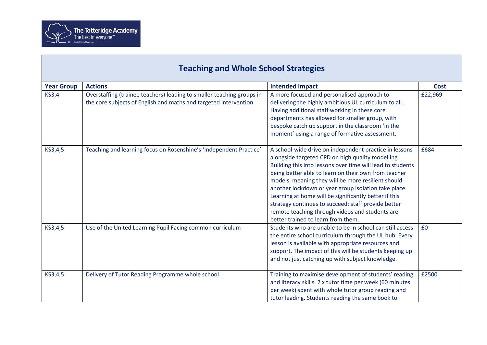

 $\mathsf{L}$ 

| <b>Teaching and Whole School Strategies</b> |                                                                                                                                           |                                                                                                                                                                                                                                                                                                                                                                                                                                                                                                                                                          |             |
|---------------------------------------------|-------------------------------------------------------------------------------------------------------------------------------------------|----------------------------------------------------------------------------------------------------------------------------------------------------------------------------------------------------------------------------------------------------------------------------------------------------------------------------------------------------------------------------------------------------------------------------------------------------------------------------------------------------------------------------------------------------------|-------------|
| <b>Year Group</b>                           | <b>Actions</b>                                                                                                                            | <b>Intended impact</b>                                                                                                                                                                                                                                                                                                                                                                                                                                                                                                                                   | <b>Cost</b> |
| <b>KS3,4</b>                                | Overstaffing (trainee teachers) leading to smaller teaching groups in<br>the core subjects of English and maths and targeted intervention | A more focused and personalised approach to<br>delivering the highly ambitious UL curriculum to all.<br>Having additional staff working in these core<br>departments has allowed for smaller group, with<br>bespoke catch up support in the classroom 'in the<br>moment' using a range of formative assessment.                                                                                                                                                                                                                                          | £22,969     |
| KS3,4,5                                     | Teaching and learning focus on Rosenshine's 'Independent Practice'                                                                        | A school-wide drive on independent practice in lessons<br>alongside targeted CPD on high quality modelling.<br>Building this into lessons over time will lead to students<br>being better able to learn on their own from teacher<br>models, meaning they will be more resilient should<br>another lockdown or year group isolation take place.<br>Learning at home will be significantly better if this<br>strategy continues to succeed: staff provide better<br>remote teaching through videos and students are<br>better trained to learn from them. | £684        |
| KS3,4,5                                     | Use of the United Learning Pupil Facing common curriculum                                                                                 | Students who are unable to be in school can still access<br>the entire school curriculum through the UL hub. Every<br>lesson is available with appropriate resources and<br>support. The impact of this will be students keeping up<br>and not just catching up with subject knowledge.                                                                                                                                                                                                                                                                  | £0          |
| KS3,4,5                                     | Delivery of Tutor Reading Programme whole school                                                                                          | Training to maximise development of students' reading<br>and literacy skills. 2 x tutor time per week (60 minutes<br>per week) spent with whole tutor group reading and<br>tutor leading. Students reading the same book to                                                                                                                                                                                                                                                                                                                              | £2500       |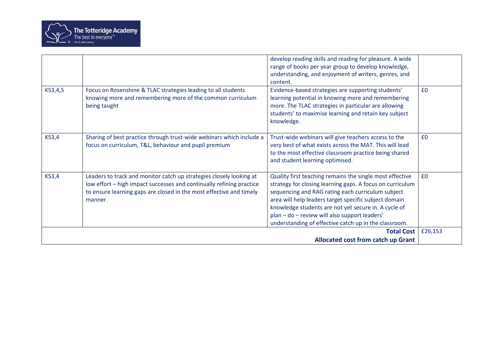

|              |                                                                                                                                                                                                                               | develop reading skills and reading for pleasure. A wide<br>range of books per year group to develop knowledge,<br>understanding, and enjoyment of writers, genres, and<br>content.                                                                                                                                                                                                                    |         |
|--------------|-------------------------------------------------------------------------------------------------------------------------------------------------------------------------------------------------------------------------------|-------------------------------------------------------------------------------------------------------------------------------------------------------------------------------------------------------------------------------------------------------------------------------------------------------------------------------------------------------------------------------------------------------|---------|
| KS3,4,5      | Focus on Rosenshine & TLAC strategies leading to all students<br>knowing more and remembering more of the common curriculum<br>being taught                                                                                   | Evidence-based strategies are supporting students'<br>learning potential in knowing more and remembering<br>more. The TLAC strategies in particular are allowing<br>students' to maximise learning and retain key subject<br>knowledge.                                                                                                                                                               | £0      |
| <b>KS3,4</b> | Sharing of best practice through trust-wide webinars which include a<br>focus on curriculum, T&L, behaviour and pupil premium                                                                                                 | Trust-wide webinars will give teachers access to the<br>very best of what exists across the MAT. This will lead<br>to the most effective classroom practice being shared<br>and student learning optimised.                                                                                                                                                                                           | £0      |
| <b>KS3,4</b> | Leaders to track and monitor catch up strategies closely looking at<br>low effort - high impact successes and continually refining practice<br>to ensure learning gaps are closed in the most effective and timely<br>manner. | Quality first teaching remains the single most effective<br>strategy for closing learning gaps. A focus on curriculum<br>sequencing and RAG rating each curriculum subject<br>area will help leaders target specific subject domain<br>knowledge students are not yet secure in. A cycle of<br>plan - do - review will also support leaders'<br>understanding of effective catch up in the classroom. | £0      |
|              |                                                                                                                                                                                                                               | <b>Total Cost</b><br><b>Allocated cost from catch up Grant</b>                                                                                                                                                                                                                                                                                                                                        | £26,153 |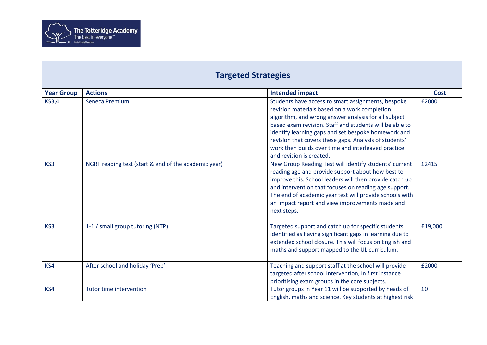

| <b>Year Group</b> | <b>Actions</b>                                       | <b>Intended impact</b>                                                                                                                                                                                                                                                                                                                                                                                                     | <b>Cost</b> |
|-------------------|------------------------------------------------------|----------------------------------------------------------------------------------------------------------------------------------------------------------------------------------------------------------------------------------------------------------------------------------------------------------------------------------------------------------------------------------------------------------------------------|-------------|
| <b>KS3,4</b>      | Seneca Premium                                       | Students have access to smart assignments, bespoke<br>revision materials based on a work completion<br>algorithm, and wrong answer analysis for all subject<br>based exam revision. Staff and students will be able to<br>identify learning gaps and set bespoke homework and<br>revision that covers these gaps. Analysis of students'<br>work then builds over time and interleaved practice<br>and revision is created. | £2000       |
| KS3               | NGRT reading test (start & end of the academic year) | New Group Reading Test will identify students' current<br>reading age and provide support about how best to<br>improve this. School leaders will then provide catch up<br>and intervention that focuses on reading age support.<br>The end of academic year test will provide schools with<br>an impact report and view improvements made and<br>next steps.                                                               | £2415       |
| KS3               | 1-1 / small group tutoring (NTP)                     | Targeted support and catch up for specific students<br>identified as having significant gaps in learning due to<br>extended school closure. This will focus on English and<br>maths and support mapped to the UL curriculum.                                                                                                                                                                                               | £19,000     |
| KS4               | After school and holiday 'Prep'                      | Teaching and support staff at the school will provide<br>targeted after school intervention, in first instance<br>prioritising exam groups in the core subjects.                                                                                                                                                                                                                                                           | £2000       |
| KS4               | <b>Tutor time intervention</b>                       | Tutor groups in Year 11 will be supported by heads of<br>English, maths and science. Key students at highest risk                                                                                                                                                                                                                                                                                                          | £0          |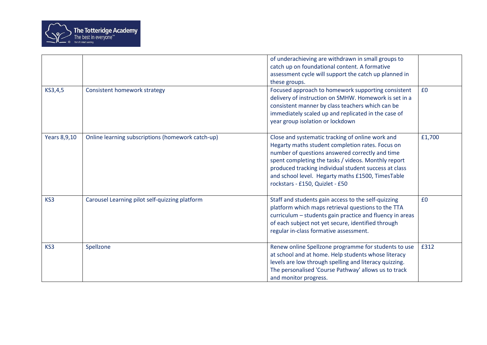

| KS3,4,5      | <b>Consistent homework strategy</b>               | of underachieving are withdrawn in small groups to<br>catch up on foundational content. A formative<br>assessment cycle will support the catch up planned in<br>these groups.<br>Focused approach to homework supporting consistent                                                                                                                             | £0     |
|--------------|---------------------------------------------------|-----------------------------------------------------------------------------------------------------------------------------------------------------------------------------------------------------------------------------------------------------------------------------------------------------------------------------------------------------------------|--------|
|              |                                                   | delivery of instruction on SMHW. Homework is set in a<br>consistent manner by class teachers which can be<br>immediately scaled up and replicated in the case of<br>year group isolation or lockdown                                                                                                                                                            |        |
| Years 8,9,10 | Online learning subscriptions (homework catch-up) | Close and systematic tracking of online work and<br>Hegarty maths student completion rates. Focus on<br>number of questions answered correctly and time<br>spent completing the tasks / videos. Monthly report<br>produced tracking individual student success at class<br>and school level. Hegarty maths £1500, TimesTable<br>rockstars - £150, Quizlet - £50 | £1,700 |
| KS3          | Carousel Learning pilot self-quizzing platform    | Staff and students gain access to the self-quizzing<br>platform which maps retrieval questions to the TTA<br>curriculum - students gain practice and fluency in areas<br>of each subject not yet secure, identified through<br>regular in-class formative assessment.                                                                                           | £0     |
| KS3          | Spellzone                                         | Renew online Spellzone programme for students to use<br>at school and at home. Help students whose literacy<br>levels are low through spelling and literacy quizzing.<br>The personalised 'Course Pathway' allows us to track<br>and monitor progress.                                                                                                          | £312   |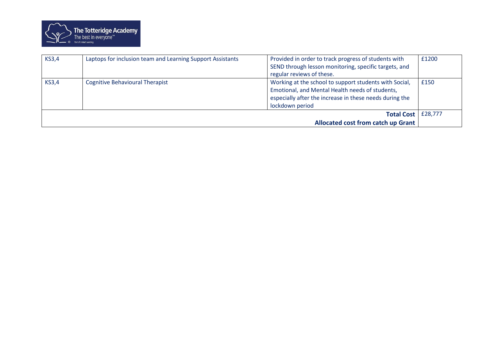

| <b>KS3,4</b> | Laptops for inclusion team and Learning Support Assistants | Provided in order to track progress of students with<br>SEND through lesson monitoring, specific targets, and<br>regular reviews of these.                                              | £1200   |
|--------------|------------------------------------------------------------|-----------------------------------------------------------------------------------------------------------------------------------------------------------------------------------------|---------|
| <b>KS3,4</b> | <b>Cognitive Behavioural Therapist</b>                     | Working at the school to support students with Social,<br>Emotional, and Mental Health needs of students,<br>especially after the increase in these needs during the<br>lockdown period | £150    |
|              |                                                            | <b>Total Cost</b>                                                                                                                                                                       | £28,777 |
|              |                                                            | <b>Allocated cost from catch up Grant</b>                                                                                                                                               |         |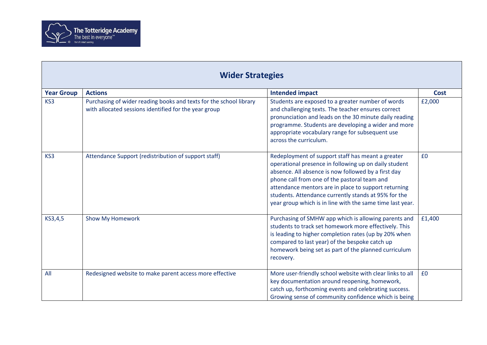

| <b>Wider Strategies</b> |                                                                                                                             |                                                                                                                                                                                                                                                                                                                                                                                                |             |
|-------------------------|-----------------------------------------------------------------------------------------------------------------------------|------------------------------------------------------------------------------------------------------------------------------------------------------------------------------------------------------------------------------------------------------------------------------------------------------------------------------------------------------------------------------------------------|-------------|
| <b>Year Group</b>       | <b>Actions</b>                                                                                                              | <b>Intended impact</b>                                                                                                                                                                                                                                                                                                                                                                         | <b>Cost</b> |
| KS3                     | Purchasing of wider reading books and texts for the school library<br>with allocated sessions identified for the year group | Students are exposed to a greater number of words<br>and challenging texts. The teacher ensures correct<br>pronunciation and leads on the 30 minute daily reading<br>programme. Students are developing a wider and more<br>appropriate vocabulary range for subsequent use<br>across the curriculum.                                                                                          | £2,000      |
| KS3                     | Attendance Support (redistribution of support staff)                                                                        | Redeployment of support staff has meant a greater<br>operational presence in following up on daily student<br>absence. All absence is now followed by a first day<br>phone call from one of the pastoral team and<br>attendance mentors are in place to support returning<br>students. Attendance currently stands at 95% for the<br>year group which is in line with the same time last year. | £0          |
| KS3,4,5                 | Show My Homework                                                                                                            | Purchasing of SMHW app which is allowing parents and<br>students to track set homework more effectively. This<br>is leading to higher completion rates (up by 20% when<br>compared to last year) of the bespoke catch up<br>homework being set as part of the planned curriculum<br>recovery.                                                                                                  | £1,400      |
| All                     | Redesigned website to make parent access more effective                                                                     | More user-friendly school website with clear links to all<br>key documentation around reopening, homework,<br>catch up, forthcoming events and celebrating success.<br>Growing sense of community confidence which is being                                                                                                                                                                    | £0          |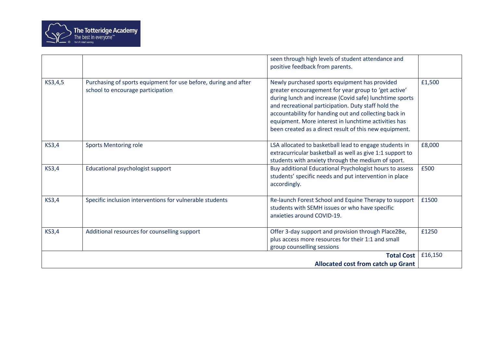

|              |                                                                                                      | seen through high levels of student attendance and<br>positive feedback from parents.                                                                                                                                                                                                                                                                                                              |         |
|--------------|------------------------------------------------------------------------------------------------------|----------------------------------------------------------------------------------------------------------------------------------------------------------------------------------------------------------------------------------------------------------------------------------------------------------------------------------------------------------------------------------------------------|---------|
| KS3,4,5      | Purchasing of sports equipment for use before, during and after<br>school to encourage participation | Newly purchased sports equipment has provided<br>greater encouragement for year group to 'get active'<br>during lunch and increase (Covid safe) lunchtime sports<br>and recreational participation. Duty staff hold the<br>accountability for handing out and collecting back in<br>equipment. More interest in lunchtime activities has<br>been created as a direct result of this new equipment. | £1,500  |
| <b>KS3,4</b> | <b>Sports Mentoring role</b>                                                                         | LSA allocated to basketball lead to engage students in<br>extracurricular basketball as well as give 1:1 support to<br>students with anxiety through the medium of sport.                                                                                                                                                                                                                          | £8,000  |
| <b>KS3,4</b> | Educational psychologist support                                                                     | Buy additional Educational Psychologist hours to assess<br>students' specific needs and put intervention in place<br>accordingly.                                                                                                                                                                                                                                                                  | £500    |
| <b>KS3,4</b> | Specific inclusion interventions for vulnerable students                                             | Re-launch Forest School and Equine Therapy to support<br>students with SEMH issues or who have specific<br>anxieties around COVID-19.                                                                                                                                                                                                                                                              | £1500   |
| <b>KS3,4</b> | Additional resources for counselling support                                                         | Offer 3-day support and provision through Place2Be,<br>plus access more resources for their 1:1 and small<br>group counselling sessions                                                                                                                                                                                                                                                            | £1250   |
|              |                                                                                                      | <b>Total Cost</b><br><b>Allocated cost from catch up Grant</b>                                                                                                                                                                                                                                                                                                                                     | £16,150 |
|              |                                                                                                      |                                                                                                                                                                                                                                                                                                                                                                                                    |         |